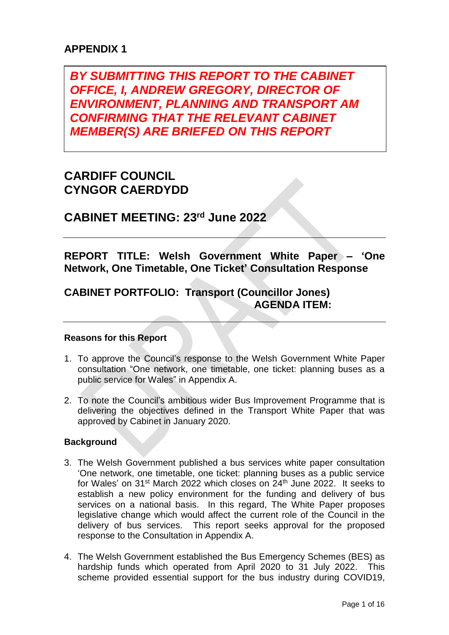## **APPENDIX 1**

*BY SUBMITTING THIS REPORT TO THE CABINET OFFICE, I, ANDREW GREGORY, DIRECTOR OF ENVIRONMENT, PLANNING AND TRANSPORT AM CONFIRMING THAT THE RELEVANT CABINET MEMBER(S) ARE BRIEFED ON THIS REPORT*

# **CARDIFF COUNCIL CYNGOR CAERDYDD**

**CABINET MEETING: 23 rd June 2022**

**REPORT TITLE: Welsh Government White Paper – 'One Network, One Timetable, One Ticket' Consultation Response**

## **CABINET PORTFOLIO: Transport (Councillor Jones) AGENDA ITEM:**

#### **Reasons for this Report**

- 1. To approve the Council's response to the Welsh Government White Paper consultation "One network, one timetable, one ticket: planning buses as a public service for Wales" in Appendix A.
- 2. To note the Council's ambitious wider Bus Improvement Programme that is delivering the objectives defined in the Transport White Paper that was approved by Cabinet in January 2020.

#### **Background**

- 3. The Welsh Government published a bus services white paper consultation 'One network, one timetable, one ticket: planning buses as a public service for Wales' on  $31^{st}$  March 2022 which closes on  $24^{th}$  June 2022. It seeks to establish a new policy environment for the funding and delivery of bus services on a national basis. In this regard, The White Paper proposes legislative change which would affect the current role of the Council in the delivery of bus services. This report seeks approval for the proposed response to the Consultation in Appendix A.
- 4. The Welsh Government established the Bus Emergency Schemes (BES) as hardship funds which operated from April 2020 to 31 July 2022. This scheme provided essential support for the bus industry during COVID19,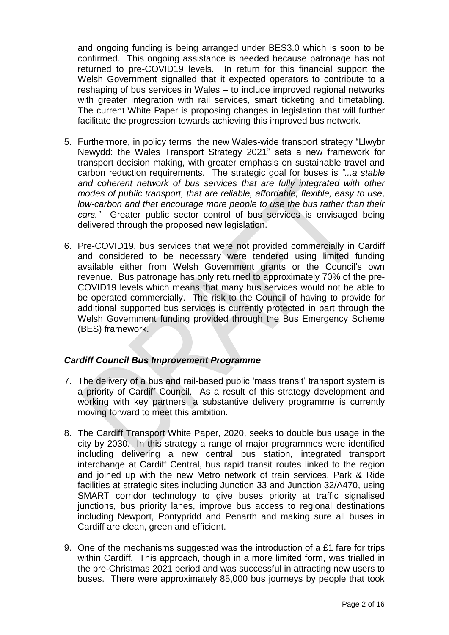and ongoing funding is being arranged under BES3.0 which is soon to be confirmed. This ongoing assistance is needed because patronage has not returned to pre-COVID19 levels. In return for this financial support the Welsh Government signalled that it expected operators to contribute to a reshaping of bus services in Wales – to include improved regional networks with greater integration with rail services, smart ticketing and timetabling. The current White Paper is proposing changes in legislation that will further facilitate the progression towards achieving this improved bus network.

- 5. Furthermore, in policy terms, the new Wales-wide transport strategy "Llwybr Newydd: the Wales Transport Strategy 2021" sets a new framework for transport decision making, with greater emphasis on sustainable travel and carbon reduction requirements. The strategic goal for buses is *"...a stable and coherent network of bus services that are fully integrated with other modes of public transport, that are reliable, affordable, flexible, easy to use, low-carbon and that encourage more people to use the bus rather than their cars."* Greater public sector control of bus services is envisaged being delivered through the proposed new legislation.
- 6. Pre-COVID19, bus services that were not provided commercially in Cardiff and considered to be necessary were tendered using limited funding available either from Welsh Government grants or the Council's own revenue. Bus patronage has only returned to approximately 70% of the pre-COVID19 levels which means that many bus services would not be able to be operated commercially. The risk to the Council of having to provide for additional supported bus services is currently protected in part through the Welsh Government funding provided through the Bus Emergency Scheme (BES) framework.

#### *Cardiff Council Bus Improvement Programme*

- 7. The delivery of a bus and rail-based public 'mass transit' transport system is a priority of Cardiff Council. As a result of this strategy development and working with key partners, a substantive delivery programme is currently moving forward to meet this ambition.
- 8. The Cardiff Transport White Paper, 2020, seeks to double bus usage in the city by 2030. In this strategy a range of major programmes were identified including delivering a new central bus station, integrated transport interchange at Cardiff Central, bus rapid transit routes linked to the region and joined up with the new Metro network of train services, Park & Ride facilities at strategic sites including Junction 33 and Junction 32/A470, using SMART corridor technology to give buses priority at traffic signalised junctions, bus priority lanes, improve bus access to regional destinations including Newport, Pontypridd and Penarth and making sure all buses in Cardiff are clean, green and efficient.
- 9. One of the mechanisms suggested was the introduction of a £1 fare for trips within Cardiff. This approach, though in a more limited form, was trialled in the pre-Christmas 2021 period and was successful in attracting new users to buses. There were approximately 85,000 bus journeys by people that took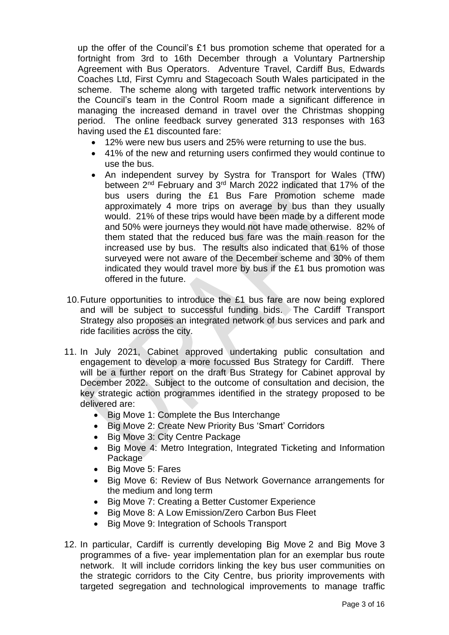up the offer of the Council's £1 bus promotion scheme that operated for a fortnight from 3rd to 16th December through a Voluntary Partnership Agreement with Bus Operators. Adventure Travel, Cardiff Bus, Edwards Coaches Ltd, First Cymru and Stagecoach South Wales participated in the scheme. The scheme along with targeted traffic network interventions by the Council's team in the Control Room made a significant difference in managing the increased demand in travel over the Christmas shopping period. The online feedback survey generated 313 responses with 163 having used the £1 discounted fare:

- 12% were new bus users and 25% were returning to use the bus.
- 41% of the new and returning users confirmed they would continue to use the bus.
- An independent survey by Systra for Transport for Wales (TfW) between 2nd February and 3rd March 2022 indicated that 17% of the bus users during the £1 Bus Fare Promotion scheme made approximately 4 more trips on average by bus than they usually would. 21% of these trips would have been made by a different mode and 50% were journeys they would not have made otherwise. 82% of them stated that the reduced bus fare was the main reason for the increased use by bus. The results also indicated that 61% of those surveyed were not aware of the December scheme and 30% of them indicated they would travel more by bus if the £1 bus promotion was offered in the future.
- 10.Future opportunities to introduce the £1 bus fare are now being explored and will be subject to successful funding bids. The Cardiff Transport Strategy also proposes an integrated network of bus services and park and ride facilities across the city.
- 11. In July 2021, Cabinet approved undertaking public consultation and engagement to develop a more focussed Bus Strategy for Cardiff. There will be a further report on the draft Bus Strategy for Cabinet approval by December 2022. Subject to the outcome of consultation and decision, the key strategic action programmes identified in the strategy proposed to be delivered are:
	- Big Move 1: Complete the Bus Interchange
	- Big Move 2: Create New Priority Bus 'Smart' Corridors
	- Big Move 3: City Centre Package
	- Big Move 4: Metro Integration, Integrated Ticketing and Information **Package**
	- Big Move 5: Fares
	- Big Move 6: Review of Bus Network Governance arrangements for the medium and long term
	- Big Move 7: Creating a Better Customer Experience
	- Big Move 8: A Low Emission/Zero Carbon Bus Fleet
	- Big Move 9: Integration of Schools Transport
- 12. In particular, Cardiff is currently developing Big Move 2 and Big Move 3 programmes of a five- year implementation plan for an exemplar bus route network. It will include corridors linking the key bus user communities on the strategic corridors to the City Centre, bus priority improvements with targeted segregation and technological improvements to manage traffic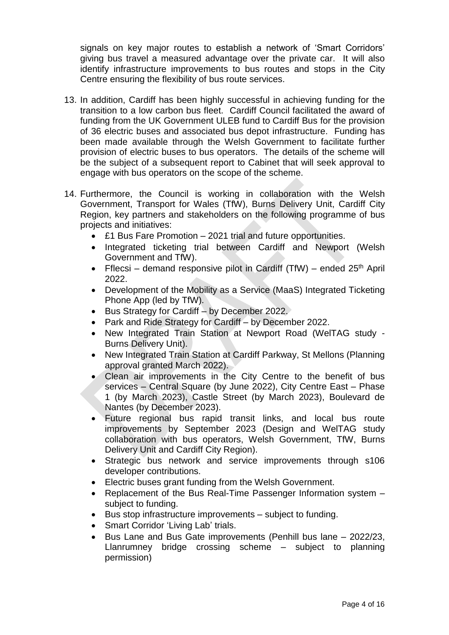signals on key major routes to establish a network of 'Smart Corridors' giving bus travel a measured advantage over the private car. It will also identify infrastructure improvements to bus routes and stops in the City Centre ensuring the flexibility of bus route services.

- 13. In addition, Cardiff has been highly successful in achieving funding for the transition to a low carbon bus fleet. Cardiff Council facilitated the award of funding from the UK Government ULEB fund to Cardiff Bus for the provision of 36 electric buses and associated bus depot infrastructure. Funding has been made available through the Welsh Government to facilitate further provision of electric buses to bus operators. The details of the scheme will be the subject of a subsequent report to Cabinet that will seek approval to engage with bus operators on the scope of the scheme.
- 14. Furthermore, the Council is working in collaboration with the Welsh Government, Transport for Wales (TfW), Burns Delivery Unit, Cardiff City Region, key partners and stakeholders on the following programme of bus projects and initiatives:
	- £1 Bus Fare Promotion 2021 trial and future opportunities.
	- Integrated ticketing trial between Cardiff and Newport (Welsh Government and TfW).
	- Fflecsi demand responsive pilot in Cardiff (TfW) ended  $25<sup>th</sup>$  April 2022.
	- Development of the Mobility as a Service (MaaS) Integrated Ticketing Phone App (led by TfW).
	- Bus Strategy for Cardiff by December 2022.
	- Park and Ride Strategy for Cardiff by December 2022.
	- New Integrated Train Station at Newport Road (WelTAG study Burns Delivery Unit).
	- New Integrated Train Station at Cardiff Parkway, St Mellons (Planning approval granted March 2022).
	- Clean air improvements in the City Centre to the benefit of bus services – Central Square (by June 2022), City Centre East – Phase 1 (by March 2023), Castle Street (by March 2023), Boulevard de Nantes (by December 2023).
	- Future regional bus rapid transit links, and local bus route improvements by September 2023 (Design and WelTAG study collaboration with bus operators, Welsh Government, TfW, Burns Delivery Unit and Cardiff City Region).
	- Strategic bus network and service improvements through s106 developer contributions.
	- Electric buses grant funding from the Welsh Government.
	- Replacement of the Bus Real-Time Passenger Information system subject to funding.
	- Bus stop infrastructure improvements subject to funding.
	- Smart Corridor 'Living Lab' trials.
	- Bus Lane and Bus Gate improvements (Penhill bus lane 2022/23, Llanrumney bridge crossing scheme – subject to planning permission)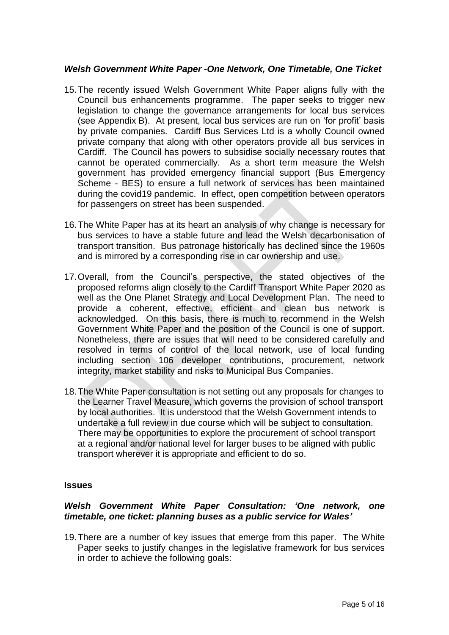#### *Welsh Government White Paper -One Network, One Timetable, One Ticket*

- 15.The recently issued Welsh Government White Paper aligns fully with the Council bus enhancements programme. The paper seeks to trigger new legislation to change the governance arrangements for local bus services (see Appendix B). At present, local bus services are run on 'for profit' basis by private companies. Cardiff Bus Services Ltd is a wholly Council owned private company that along with other operators provide all bus services in Cardiff. The Council has powers to subsidise socially necessary routes that cannot be operated commercially. As a short term measure the Welsh government has provided emergency financial support (Bus Emergency Scheme - BES) to ensure a full network of services has been maintained during the covid19 pandemic. In effect, open competition between operators for passengers on street has been suspended.
- 16.The White Paper has at its heart an analysis of why change is necessary for bus services to have a stable future and lead the Welsh decarbonisation of transport transition. Bus patronage historically has declined since the 1960s and is mirrored by a corresponding rise in car ownership and use.
- 17.Overall, from the Council's perspective, the stated objectives of the proposed reforms align closely to the Cardiff Transport White Paper 2020 as well as the One Planet Strategy and Local Development Plan. The need to provide a coherent, effective, efficient and clean bus network is acknowledged. On this basis, there is much to recommend in the Welsh Government White Paper and the position of the Council is one of support. Nonetheless, there are issues that will need to be considered carefully and resolved in terms of control of the local network, use of local funding including section 106 developer contributions, procurement, network integrity, market stability and risks to Municipal Bus Companies.
- 18.The White Paper consultation is not setting out any proposals for changes to the Learner Travel Measure, which governs the provision of school transport by local authorities. It is understood that the Welsh Government intends to undertake a full review in due course which will be subject to consultation. There may be opportunities to explore the procurement of school transport at a regional and/or national level for larger buses to be aligned with public transport wherever it is appropriate and efficient to do so.

#### **Issues**

#### *Welsh Government White Paper Consultation: 'One network, one timetable, one ticket: planning buses as a public service for Wales'*

19.There are a number of key issues that emerge from this paper. The White Paper seeks to justify changes in the legislative framework for bus services in order to achieve the following goals: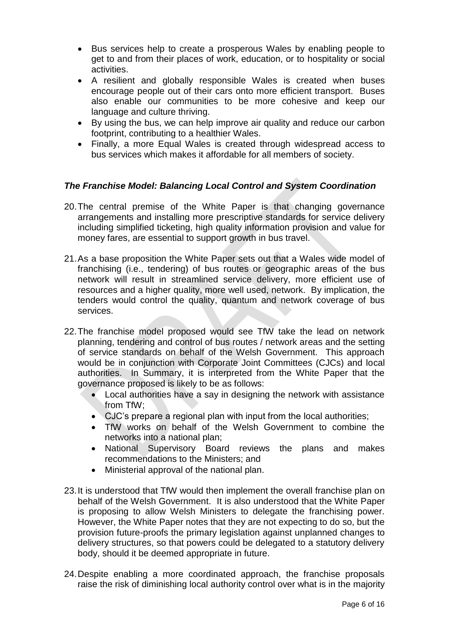- Bus services help to create a prosperous Wales by enabling people to get to and from their places of work, education, or to hospitality or social activities.
- A resilient and globally responsible Wales is created when buses encourage people out of their cars onto more efficient transport. Buses also enable our communities to be more cohesive and keep our language and culture thriving.
- By using the bus, we can help improve air quality and reduce our carbon footprint, contributing to a healthier Wales.
- Finally, a more Equal Wales is created through widespread access to bus services which makes it affordable for all members of society.

## *The Franchise Model: Balancing Local Control and System Coordination*

- 20.The central premise of the White Paper is that changing governance arrangements and installing more prescriptive standards for service delivery including simplified ticketing, high quality information provision and value for money fares, are essential to support growth in bus travel.
- 21.As a base proposition the White Paper sets out that a Wales wide model of franchising (i.e., tendering) of bus routes or geographic areas of the bus network will result in streamlined service delivery, more efficient use of resources and a higher quality, more well used, network. By implication, the tenders would control the quality, quantum and network coverage of bus services.
- 22.The franchise model proposed would see TfW take the lead on network planning, tendering and control of bus routes / network areas and the setting of service standards on behalf of the Welsh Government. This approach would be in conjunction with Corporate Joint Committees (CJCs) and local authorities. In Summary, it is interpreted from the White Paper that the governance proposed is likely to be as follows:
	- Local authorities have a say in designing the network with assistance from TfW;
	- CJC's prepare a regional plan with input from the local authorities;
	- TfW works on behalf of the Welsh Government to combine the networks into a national plan;
	- National Supervisory Board reviews the plans and makes recommendations to the Ministers; and
	- Ministerial approval of the national plan.
- 23.It is understood that TfW would then implement the overall franchise plan on behalf of the Welsh Government. It is also understood that the White Paper is proposing to allow Welsh Ministers to delegate the franchising power. However, the White Paper notes that they are not expecting to do so, but the provision future-proofs the primary legislation against unplanned changes to delivery structures, so that powers could be delegated to a statutory delivery body, should it be deemed appropriate in future.
- 24.Despite enabling a more coordinated approach, the franchise proposals raise the risk of diminishing local authority control over what is in the majority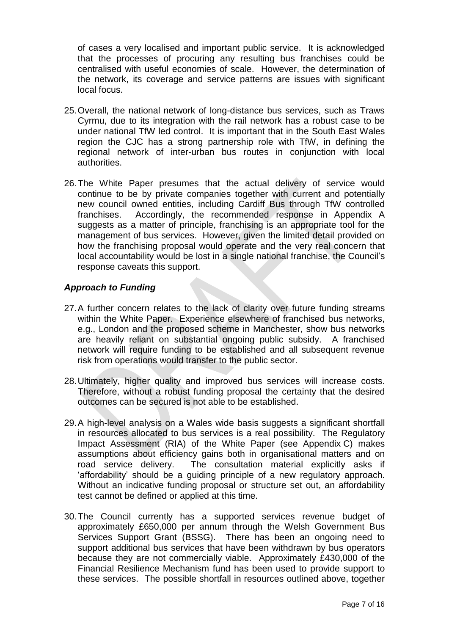of cases a very localised and important public service. It is acknowledged that the processes of procuring any resulting bus franchises could be centralised with useful economies of scale. However, the determination of the network, its coverage and service patterns are issues with significant local focus.

- 25.Overall, the national network of long-distance bus services, such as Traws Cyrmu, due to its integration with the rail network has a robust case to be under national TfW led control. It is important that in the South East Wales region the CJC has a strong partnership role with TfW, in defining the regional network of inter-urban bus routes in conjunction with local authorities.
- 26.The White Paper presumes that the actual delivery of service would continue to be by private companies together with current and potentially new council owned entities, including Cardiff Bus through TfW controlled franchises. Accordingly, the recommended response in Appendix A suggests as a matter of principle, franchising is an appropriate tool for the management of bus services. However, given the limited detail provided on how the franchising proposal would operate and the very real concern that local accountability would be lost in a single national franchise, the Council's response caveats this support.

#### *Approach to Funding*

- 27.A further concern relates to the lack of clarity over future funding streams within the White Paper. Experience elsewhere of franchised bus networks, e.g., London and the proposed scheme in Manchester, show bus networks are heavily reliant on substantial ongoing public subsidy. A franchised network will require funding to be established and all subsequent revenue risk from operations would transfer to the public sector.
- 28.Ultimately, higher quality and improved bus services will increase costs. Therefore, without a robust funding proposal the certainty that the desired outcomes can be secured is not able to be established.
- 29.A high-level analysis on a Wales wide basis suggests a significant shortfall in resources allocated to bus services is a real possibility. The Regulatory Impact Assessment (RIA) of the White Paper (see Appendix C) makes assumptions about efficiency gains both in organisational matters and on road service delivery. The consultation material explicitly asks if 'affordability' should be a guiding principle of a new regulatory approach. Without an indicative funding proposal or structure set out, an affordability test cannot be defined or applied at this time.
- 30.The Council currently has a supported services revenue budget of approximately £650,000 per annum through the Welsh Government Bus Services Support Grant (BSSG). There has been an ongoing need to support additional bus services that have been withdrawn by bus operators because they are not commercially viable. Approximately £430,000 of the Financial Resilience Mechanism fund has been used to provide support to these services. The possible shortfall in resources outlined above, together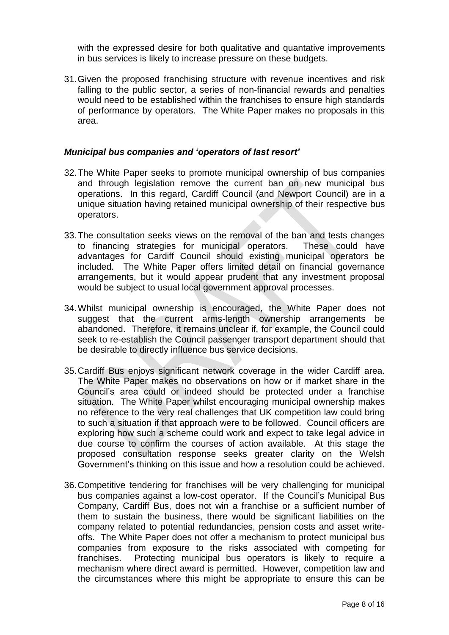with the expressed desire for both qualitative and quantative improvements in bus services is likely to increase pressure on these budgets.

31.Given the proposed franchising structure with revenue incentives and risk falling to the public sector, a series of non-financial rewards and penalties would need to be established within the franchises to ensure high standards of performance by operators. The White Paper makes no proposals in this area.

#### *Municipal bus companies and 'operators of last resort'*

- 32.The White Paper seeks to promote municipal ownership of bus companies and through legislation remove the current ban on new municipal bus operations. In this regard, Cardiff Council (and Newport Council) are in a unique situation having retained municipal ownership of their respective bus operators.
- 33.The consultation seeks views on the removal of the ban and tests changes to financing strategies for municipal operators. These could have advantages for Cardiff Council should existing municipal operators be included. The White Paper offers limited detail on financial governance arrangements, but it would appear prudent that any investment proposal would be subject to usual local government approval processes.
- 34.Whilst municipal ownership is encouraged, the White Paper does not suggest that the current arms-length ownership arrangements be abandoned. Therefore, it remains unclear if, for example, the Council could seek to re-establish the Council passenger transport department should that be desirable to directly influence bus service decisions.
- 35.Cardiff Bus enjoys significant network coverage in the wider Cardiff area. The White Paper makes no observations on how or if market share in the Council's area could or indeed should be protected under a franchise situation. The White Paper whilst encouraging municipal ownership makes no reference to the very real challenges that UK competition law could bring to such a situation if that approach were to be followed. Council officers are exploring how such a scheme could work and expect to take legal advice in due course to confirm the courses of action available. At this stage the proposed consultation response seeks greater clarity on the Welsh Government's thinking on this issue and how a resolution could be achieved.
- 36.Competitive tendering for franchises will be very challenging for municipal bus companies against a low-cost operator. If the Council's Municipal Bus Company, Cardiff Bus, does not win a franchise or a sufficient number of them to sustain the business, there would be significant liabilities on the company related to potential redundancies, pension costs and asset writeoffs. The White Paper does not offer a mechanism to protect municipal bus companies from exposure to the risks associated with competing for franchises. Protecting municipal bus operators is likely to require a mechanism where direct award is permitted. However, competition law and the circumstances where this might be appropriate to ensure this can be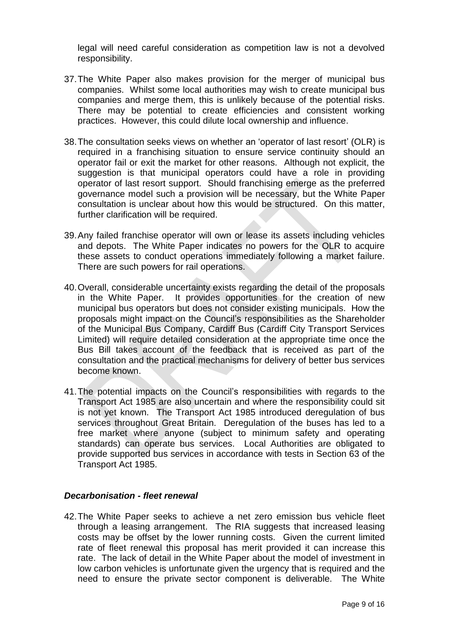legal will need careful consideration as competition law is not a devolved responsibility.

- 37.The White Paper also makes provision for the merger of municipal bus companies. Whilst some local authorities may wish to create municipal bus companies and merge them, this is unlikely because of the potential risks. There may be potential to create efficiencies and consistent working practices. However, this could dilute local ownership and influence.
- 38.The consultation seeks views on whether an 'operator of last resort' (OLR) is required in a franchising situation to ensure service continuity should an operator fail or exit the market for other reasons. Although not explicit, the suggestion is that municipal operators could have a role in providing operator of last resort support. Should franchising emerge as the preferred governance model such a provision will be necessary, but the White Paper consultation is unclear about how this would be structured. On this matter, further clarification will be required.
- 39.Any failed franchise operator will own or lease its assets including vehicles and depots. The White Paper indicates no powers for the OLR to acquire these assets to conduct operations immediately following a market failure. There are such powers for rail operations.
- 40.Overall, considerable uncertainty exists regarding the detail of the proposals in the White Paper. It provides opportunities for the creation of new municipal bus operators but does not consider existing municipals. How the proposals might impact on the Council's responsibilities as the Shareholder of the Municipal Bus Company, Cardiff Bus (Cardiff City Transport Services Limited) will require detailed consideration at the appropriate time once the Bus Bill takes account of the feedback that is received as part of the consultation and the practical mechanisms for delivery of better bus services become known.
- 41.The potential impacts on the Council's responsibilities with regards to the Transport Act 1985 are also uncertain and where the responsibility could sit is not yet known. The Transport Act 1985 introduced deregulation of bus services throughout Great Britain. Deregulation of the buses has led to a free market where anyone (subject to minimum safety and operating standards) can operate bus services. Local Authorities are obligated to provide supported bus services in accordance with tests in Section 63 of the Transport Act 1985.

#### *Decarbonisation - fleet renewal*

42.The White Paper seeks to achieve a net zero emission bus vehicle fleet through a leasing arrangement. The RIA suggests that increased leasing costs may be offset by the lower running costs. Given the current limited rate of fleet renewal this proposal has merit provided it can increase this rate. The lack of detail in the White Paper about the model of investment in low carbon vehicles is unfortunate given the urgency that is required and the need to ensure the private sector component is deliverable. The White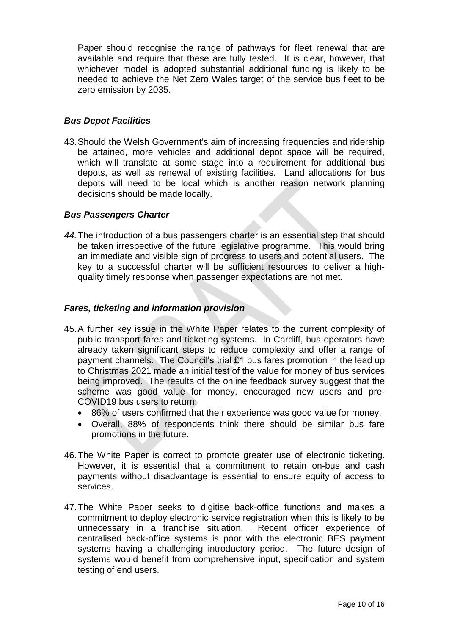Paper should recognise the range of pathways for fleet renewal that are available and require that these are fully tested. It is clear, however, that whichever model is adopted substantial additional funding is likely to be needed to achieve the Net Zero Wales target of the service bus fleet to be zero emission by 2035.

#### *Bus Depot Facilities*

43.Should the Welsh Government's aim of increasing frequencies and ridership be attained, more vehicles and additional depot space will be required, which will translate at some stage into a requirement for additional bus depots, as well as renewal of existing facilities. Land allocations for bus depots will need to be local which is another reason network planning decisions should be made locally.

#### *Bus Passengers Charter*

*44.*The introduction of a bus passengers charter is an essential step that should be taken irrespective of the future legislative programme. This would bring an immediate and visible sign of progress to users and potential users. The key to a successful charter will be sufficient resources to deliver a highquality timely response when passenger expectations are not met.

#### *Fares, ticketing and information provision*

- 45.A further key issue in the White Paper relates to the current complexity of public transport fares and ticketing systems. In Cardiff, bus operators have already taken significant steps to reduce complexity and offer a range of payment channels. The Council's trial £1 bus fares promotion in the lead up to Christmas 2021 made an initial test of the value for money of bus services being improved. The results of the online feedback survey suggest that the scheme was good value for money, encouraged new users and pre-COVID19 bus users to return:
	- 86% of users confirmed that their experience was good value for money.
	- Overall, 88% of respondents think there should be similar bus fare promotions in the future.
- 46.The White Paper is correct to promote greater use of electronic ticketing. However, it is essential that a commitment to retain on-bus and cash payments without disadvantage is essential to ensure equity of access to services.
- 47.The White Paper seeks to digitise back-office functions and makes a commitment to deploy electronic service registration when this is likely to be unnecessary in a franchise situation. Recent officer experience of centralised back-office systems is poor with the electronic BES payment systems having a challenging introductory period. The future design of systems would benefit from comprehensive input, specification and system testing of end users.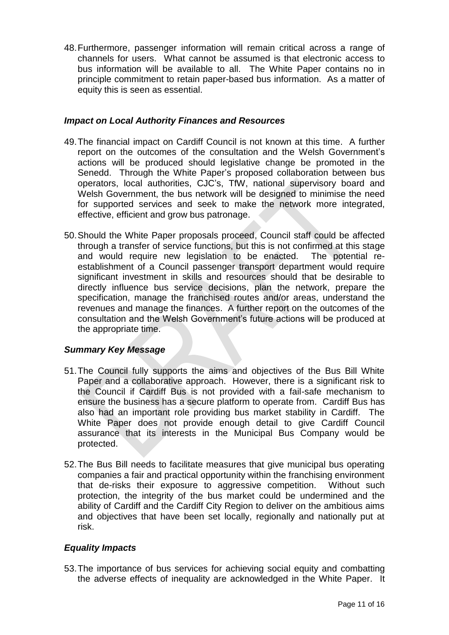48.Furthermore, passenger information will remain critical across a range of channels for users. What cannot be assumed is that electronic access to bus information will be available to all. The White Paper contains no in principle commitment to retain paper-based bus information. As a matter of equity this is seen as essential.

#### *Impact on Local Authority Finances and Resources*

- 49.The financial impact on Cardiff Council is not known at this time. A further report on the outcomes of the consultation and the Welsh Government's actions will be produced should legislative change be promoted in the Senedd. Through the White Paper's proposed collaboration between bus operators, local authorities, CJC's, TfW, national supervisory board and Welsh Government, the bus network will be designed to minimise the need for supported services and seek to make the network more integrated, effective, efficient and grow bus patronage.
- 50.Should the White Paper proposals proceed, Council staff could be affected through a transfer of service functions, but this is not confirmed at this stage and would require new legislation to be enacted. The potential reestablishment of a Council passenger transport department would require significant investment in skills and resources should that be desirable to directly influence bus service decisions, plan the network, prepare the specification, manage the franchised routes and/or areas, understand the revenues and manage the finances. A further report on the outcomes of the consultation and the Welsh Government's future actions will be produced at the appropriate time.

## *Summary Key Message*

- 51.The Council fully supports the aims and objectives of the Bus Bill White Paper and a collaborative approach. However, there is a significant risk to the Council if Cardiff Bus is not provided with a fail-safe mechanism to ensure the business has a secure platform to operate from. Cardiff Bus has also had an important role providing bus market stability in Cardiff. The White Paper does not provide enough detail to give Cardiff Council assurance that its interests in the Municipal Bus Company would be protected.
- 52.The Bus Bill needs to facilitate measures that give municipal bus operating companies a fair and practical opportunity within the franchising environment that de-risks their exposure to aggressive competition. Without such protection, the integrity of the bus market could be undermined and the ability of Cardiff and the Cardiff City Region to deliver on the ambitious aims and objectives that have been set locally, regionally and nationally put at risk.

## *Equality Impacts*

53.The importance of bus services for achieving social equity and combatting the adverse effects of inequality are acknowledged in the White Paper. It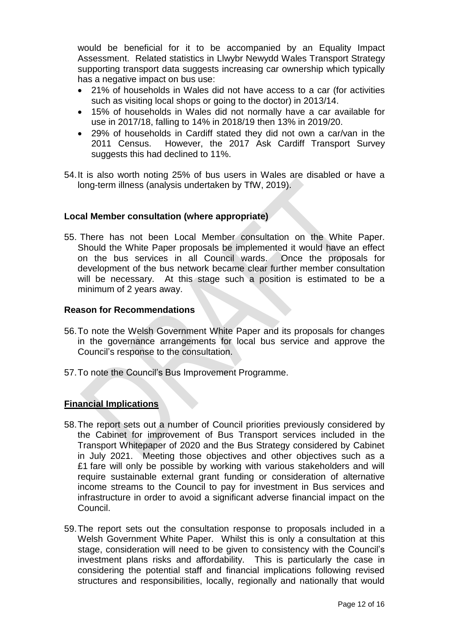would be beneficial for it to be accompanied by an Equality Impact Assessment. Related statistics in Llwybr Newydd Wales Transport Strategy supporting transport data suggests increasing car ownership which typically has a negative impact on bus use:

- 21% of households in Wales did not have access to a car (for activities such as visiting local shops or going to the doctor) in 2013/14.
- 15% of households in Wales did not normally have a car available for use in 2017/18, falling to 14% in 2018/19 then 13% in 2019/20.
- 29% of households in Cardiff stated they did not own a car/van in the 2011 Census. However, the 2017 Ask Cardiff Transport Survey suggests this had declined to 11%.
- 54.It is also worth noting 25% of bus users in Wales are disabled or have a long-term illness (analysis undertaken by TfW, 2019).

#### **Local Member consultation (where appropriate)**

55. There has not been Local Member consultation on the White Paper. Should the White Paper proposals be implemented it would have an effect on the bus services in all Council wards. Once the proposals for development of the bus network became clear further member consultation will be necessary. At this stage such a position is estimated to be a minimum of 2 years away.

#### **Reason for Recommendations**

- 56.To note the Welsh Government White Paper and its proposals for changes in the governance arrangements for local bus service and approve the Council's response to the consultation.
- 57.To note the Council's Bus Improvement Programme.

## **Financial Implications**

- 58.The report sets out a number of Council priorities previously considered by the Cabinet for improvement of Bus Transport services included in the Transport Whitepaper of 2020 and the Bus Strategy considered by Cabinet in July 2021. Meeting those objectives and other objectives such as a £1 fare will only be possible by working with various stakeholders and will require sustainable external grant funding or consideration of alternative income streams to the Council to pay for investment in Bus services and infrastructure in order to avoid a significant adverse financial impact on the Council.
- 59.The report sets out the consultation response to proposals included in a Welsh Government White Paper. Whilst this is only a consultation at this stage, consideration will need to be given to consistency with the Council's investment plans risks and affordability. This is particularly the case in considering the potential staff and financial implications following revised structures and responsibilities, locally, regionally and nationally that would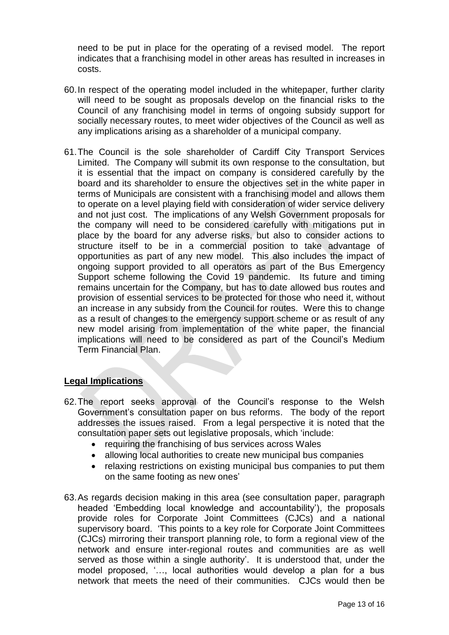need to be put in place for the operating of a revised model. The report indicates that a franchising model in other areas has resulted in increases in costs.

- 60.In respect of the operating model included in the whitepaper, further clarity will need to be sought as proposals develop on the financial risks to the Council of any franchising model in terms of ongoing subsidy support for socially necessary routes, to meet wider objectives of the Council as well as any implications arising as a shareholder of a municipal company.
- 61.The Council is the sole shareholder of Cardiff City Transport Services Limited. The Company will submit its own response to the consultation, but it is essential that the impact on company is considered carefully by the board and its shareholder to ensure the objectives set in the white paper in terms of Municipals are consistent with a franchising model and allows them to operate on a level playing field with consideration of wider service delivery and not just cost. The implications of any Welsh Government proposals for the company will need to be considered carefully with mitigations put in place by the board for any adverse risks, but also to consider actions to structure itself to be in a commercial position to take advantage of opportunities as part of any new model. This also includes the impact of ongoing support provided to all operators as part of the Bus Emergency Support scheme following the Covid 19 pandemic. Its future and timing remains uncertain for the Company, but has to date allowed bus routes and provision of essential services to be protected for those who need it, without an increase in any subsidy from the Council for routes. Were this to change as a result of changes to the emergency support scheme or as result of any new model arising from implementation of the white paper, the financial implications will need to be considered as part of the Council's Medium Term Financial Plan.

## **Legal Implications**

- 62.The report seeks approval of the Council's response to the Welsh Government's consultation paper on bus reforms. The body of the report addresses the issues raised. From a legal perspective it is noted that the consultation paper sets out legislative proposals, which 'include:
	- requiring the franchising of bus services across Wales
	- allowing local authorities to create new municipal bus companies
	- relaxing restrictions on existing municipal bus companies to put them on the same footing as new ones'
- 63.As regards decision making in this area (see consultation paper, paragraph headed 'Embedding local knowledge and accountability'), the proposals provide roles for Corporate Joint Committees (CJCs) and a national supervisory board. 'This points to a key role for Corporate Joint Committees (CJCs) mirroring their transport planning role, to form a regional view of the network and ensure inter-regional routes and communities are as well served as those within a single authority'. It is understood that, under the model proposed, '…, local authorities would develop a plan for a bus network that meets the need of their communities. CJCs would then be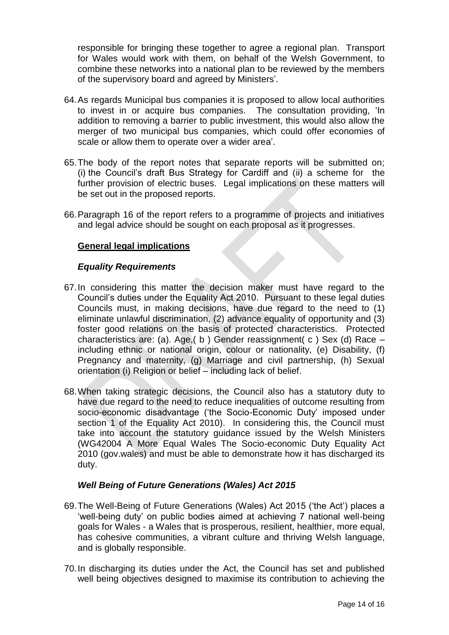responsible for bringing these together to agree a regional plan. Transport for Wales would work with them, on behalf of the Welsh Government, to combine these networks into a national plan to be reviewed by the members of the supervisory board and agreed by Ministers'.

- 64.As regards Municipal bus companies it is proposed to allow local authorities to invest in or acquire bus companies. The consultation providing, 'In addition to removing a barrier to public investment, this would also allow the merger of two municipal bus companies, which could offer economies of scale or allow them to operate over a wider area'.
- 65.The body of the report notes that separate reports will be submitted on; (i) the Council's draft Bus Strategy for Cardiff and (ii) a scheme for the further provision of electric buses. Legal implications on these matters will be set out in the proposed reports.
- 66.Paragraph 16 of the report refers to a programme of projects and initiatives and legal advice should be sought on each proposal as it progresses.

#### **General legal implications**

#### *Equality Requirements*

- 67.In considering this matter the decision maker must have regard to the Council's duties under the Equality Act 2010. Pursuant to these legal duties Councils must, in making decisions, have due regard to the need to (1) eliminate unlawful discrimination, (2) advance equality of opportunity and (3) foster good relations on the basis of protected characteristics. Protected characteristics are: (a). Age,( b ) Gender reassignment( c ) Sex (d) Race – including ethnic or national origin, colour or nationality, (e) Disability, (f) Pregnancy and maternity, (g) Marriage and civil partnership, (h) Sexual orientation (i) Religion or belief – including lack of belief.
- 68.When taking strategic decisions, the Council also has a statutory duty to have due regard to the need to reduce inequalities of outcome resulting from socio-economic disadvantage ('the Socio-Economic Duty' imposed under section 1 of the Equality Act 2010). In considering this, the Council must take into account the statutory guidance issued by the Welsh Ministers (WG42004 A More Equal Wales The Socio-economic Duty Equality Act 2010 (gov.wales) and must be able to demonstrate how it has discharged its duty.

#### *Well Being of Future Generations (Wales) Act 2015*

- 69.The Well-Being of Future Generations (Wales) Act 2015 ('the Act') places a 'well-being duty' on public bodies aimed at achieving 7 national well-being goals for Wales - a Wales that is prosperous, resilient, healthier, more equal, has cohesive communities, a vibrant culture and thriving Welsh language, and is globally responsible.
- 70.In discharging its duties under the Act, the Council has set and published well being objectives designed to maximise its contribution to achieving the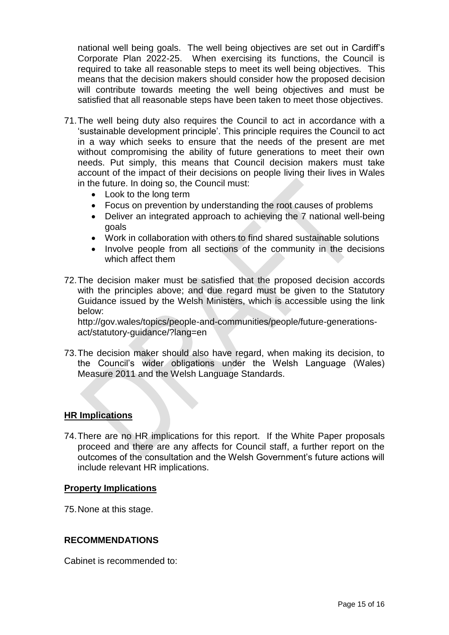national well being goals. The well being objectives are set out in Cardiff's Corporate Plan 2022-25. When exercising its functions, the Council is required to take all reasonable steps to meet its well being objectives. This means that the decision makers should consider how the proposed decision will contribute towards meeting the well being objectives and must be satisfied that all reasonable steps have been taken to meet those objectives.

- 71.The well being duty also requires the Council to act in accordance with a 'sustainable development principle'. This principle requires the Council to act in a way which seeks to ensure that the needs of the present are met without compromising the ability of future generations to meet their own needs. Put simply, this means that Council decision makers must take account of the impact of their decisions on people living their lives in Wales in the future. In doing so, the Council must:
	- Look to the long term
	- Focus on prevention by understanding the root causes of problems
	- Deliver an integrated approach to achieving the 7 national well-being goals
	- Work in collaboration with others to find shared sustainable solutions
	- Involve people from all sections of the community in the decisions which affect them
- 72.The decision maker must be satisfied that the proposed decision accords with the principles above; and due regard must be given to the Statutory Guidance issued by the Welsh Ministers, which is accessible using the link below:

http://gov.wales/topics/people-and-communities/people/future-generationsact/statutory-guidance/?lang=en

73.The decision maker should also have regard, when making its decision, to the Council's wider obligations under the Welsh Language (Wales) Measure 2011 and the Welsh Language Standards.

#### **HR Implications**

74.There are no HR implications for this report. If the White Paper proposals proceed and there are any affects for Council staff, a further report on the outcomes of the consultation and the Welsh Government's future actions will include relevant HR implications.

#### **Property Implications**

75.None at this stage.

#### **RECOMMENDATIONS**

Cabinet is recommended to: